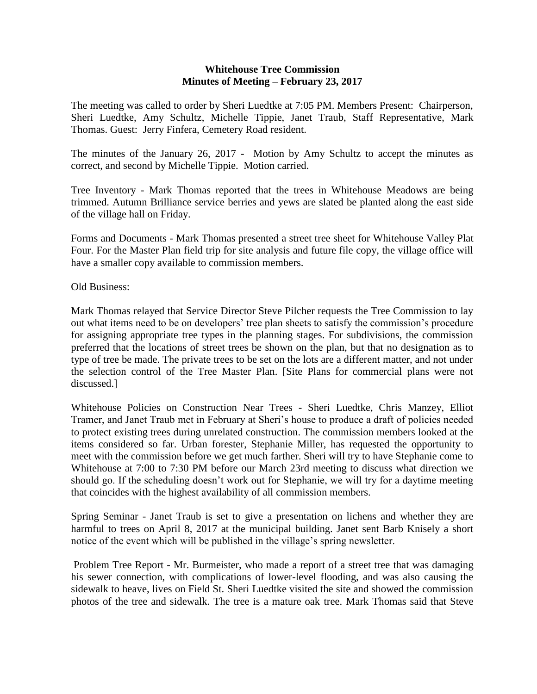## **Whitehouse Tree Commission Minutes of Meeting – February 23, 2017**

The meeting was called to order by Sheri Luedtke at 7:05 PM. Members Present: Chairperson, Sheri Luedtke, Amy Schultz, Michelle Tippie, Janet Traub, Staff Representative, Mark Thomas. Guest: Jerry Finfera, Cemetery Road resident.

The minutes of the January 26, 2017 - Motion by Amy Schultz to accept the minutes as correct, and second by Michelle Tippie. Motion carried.

Tree Inventory - Mark Thomas reported that the trees in Whitehouse Meadows are being trimmed. Autumn Brilliance service berries and yews are slated be planted along the east side of the village hall on Friday.

Forms and Documents - Mark Thomas presented a street tree sheet for Whitehouse Valley Plat Four. For the Master Plan field trip for site analysis and future file copy, the village office will have a smaller copy available to commission members.

Old Business:

Mark Thomas relayed that Service Director Steve Pilcher requests the Tree Commission to lay out what items need to be on developers' tree plan sheets to satisfy the commission's procedure for assigning appropriate tree types in the planning stages. For subdivisions, the commission preferred that the locations of street trees be shown on the plan, but that no designation as to type of tree be made. The private trees to be set on the lots are a different matter, and not under the selection control of the Tree Master Plan. [Site Plans for commercial plans were not discussed.]

Whitehouse Policies on Construction Near Trees - Sheri Luedtke, Chris Manzey, Elliot Tramer, and Janet Traub met in February at Sheri's house to produce a draft of policies needed to protect existing trees during unrelated construction. The commission members looked at the items considered so far. Urban forester, Stephanie Miller, has requested the opportunity to meet with the commission before we get much farther. Sheri will try to have Stephanie come to Whitehouse at 7:00 to 7:30 PM before our March 23rd meeting to discuss what direction we should go. If the scheduling doesn't work out for Stephanie, we will try for a daytime meeting that coincides with the highest availability of all commission members.

Spring Seminar - Janet Traub is set to give a presentation on lichens and whether they are harmful to trees on April 8, 2017 at the municipal building. Janet sent Barb Knisely a short notice of the event which will be published in the village's spring newsletter.

Problem Tree Report - Mr. Burmeister, who made a report of a street tree that was damaging his sewer connection, with complications of lower-level flooding, and was also causing the sidewalk to heave, lives on Field St. Sheri Luedtke visited the site and showed the commission photos of the tree and sidewalk. The tree is a mature oak tree. Mark Thomas said that Steve